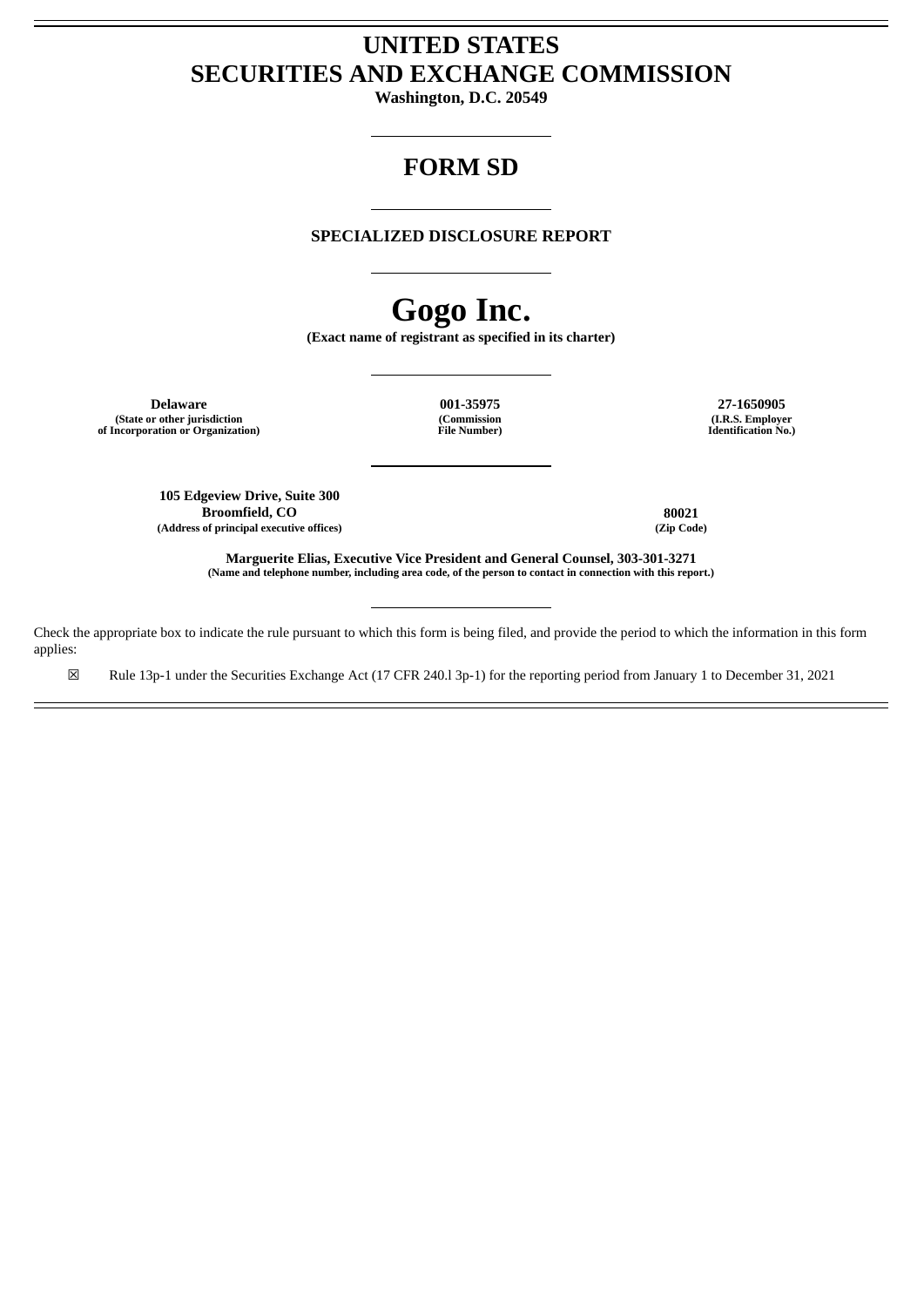# **UNITED STATES SECURITIES AND EXCHANGE COMMISSION**

**Washington, D.C. 20549**

# **FORM SD**

## **SPECIALIZED DISCLOSURE REPORT**

# **Gogo Inc.**

**(Exact name of registrant as specified in its charter)**

**Delaware 001-35975 27-1650905 (State or other jurisdiction of Incorporation or Organization)**

**(Commission File Number)**

**(I.R.S. Employer Identification No.)**

**105 Edgeview Drive, Suite 300 Broomfield, CO 80021**<br> **80021**<br> **80021**<br> **80021 (Address of principal executive offices) (Zip Code)**

**Marguerite Elias, Executive Vice President and General Counsel, 303-301-3271** (Name and telephone number, including area code, of the person to contact in connection with this report.)

Check the appropriate box to indicate the rule pursuant to which this form is being filed, and provide the period to which the information in this form applies:

☒ Rule 13p-1 under the Securities Exchange Act (17 CFR 240.l 3p-1) for the reporting period from January 1 to December 31, 2021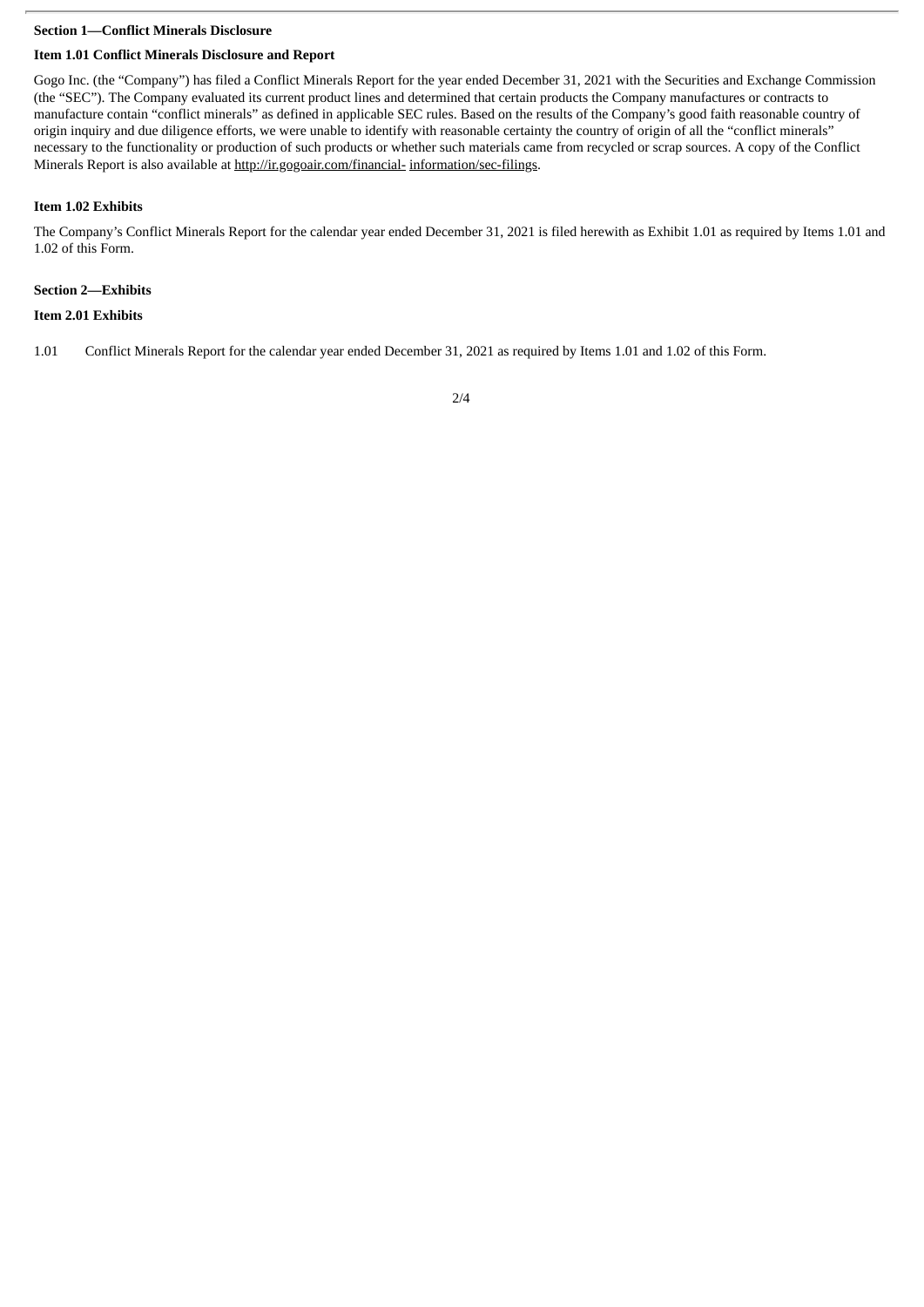## **Section 1—Conflict Minerals Disclosure**

## **Item 1.01 Conflict Minerals Disclosure and Report**

Gogo Inc. (the "Company") has filed a Conflict Minerals Report for the year ended December 31, 2021 with the Securities and Exchange Commission (the "SEC"). The Company evaluated its current product lines and determined that certain products the Company manufactures or contracts to manufacture contain "conflict minerals" as defined in applicable SEC rules. Based on the results of the Company's good faith reasonable country of origin inquiry and due diligence efforts, we were unable to identify with reasonable certainty the country of origin of all the "conflict minerals" necessary to the functionality or production of such products or whether such materials came from recycled or scrap sources. A copy of the Conflict Minerals Report is also available at http://ir.gogoair.com/financial- information/sec-filings.

### **Item 1.02 Exhibits**

The Company's Conflict Minerals Report for the calendar year ended December 31, 2021 is filed herewith as Exhibit 1.01 as required by Items 1.01 and 1.02 of this Form.

## **Section 2—Exhibits**

## **Item 2.01 Exhibits**

1.01 Conflict Minerals Report for the calendar year ended December 31, 2021 as required by Items 1.01 and 1.02 of this Form.

2/4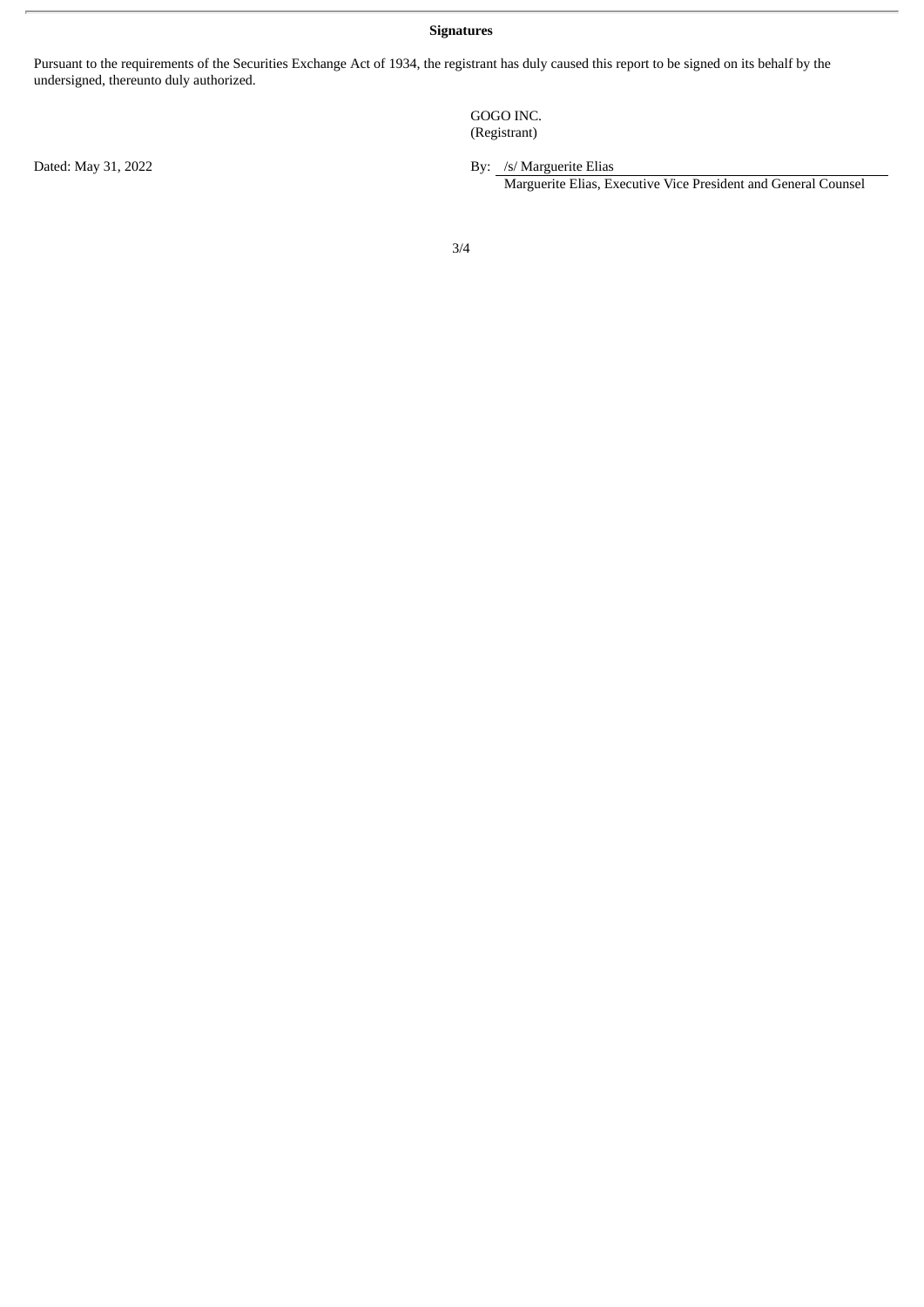**Signatures**

Pursuant to the requirements of the Securities Exchange Act of 1934, the registrant has duly caused this report to be signed on its behalf by the undersigned, thereunto duly authorized.

> GOGO INC. (Registrant)

Dated: May 31, 2022 **By:** /s/ Marguerite Elias

Marguerite Elias, Executive Vice President and General Counsel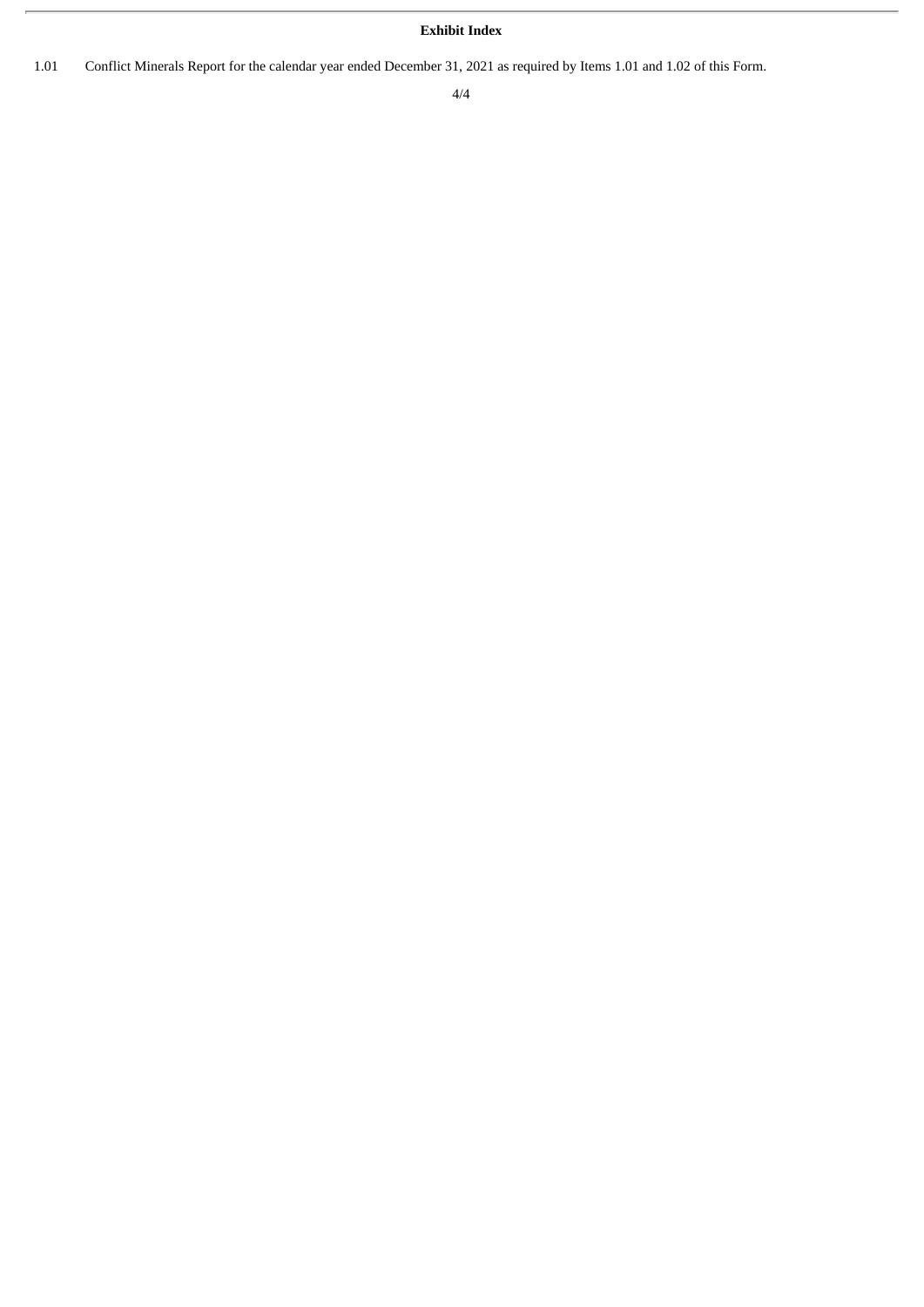## **Exhibit Index**

1.01 Conflict Minerals Report for the calendar year ended December 31, 2021 as required by Items 1.01 and 1.02 of this Form.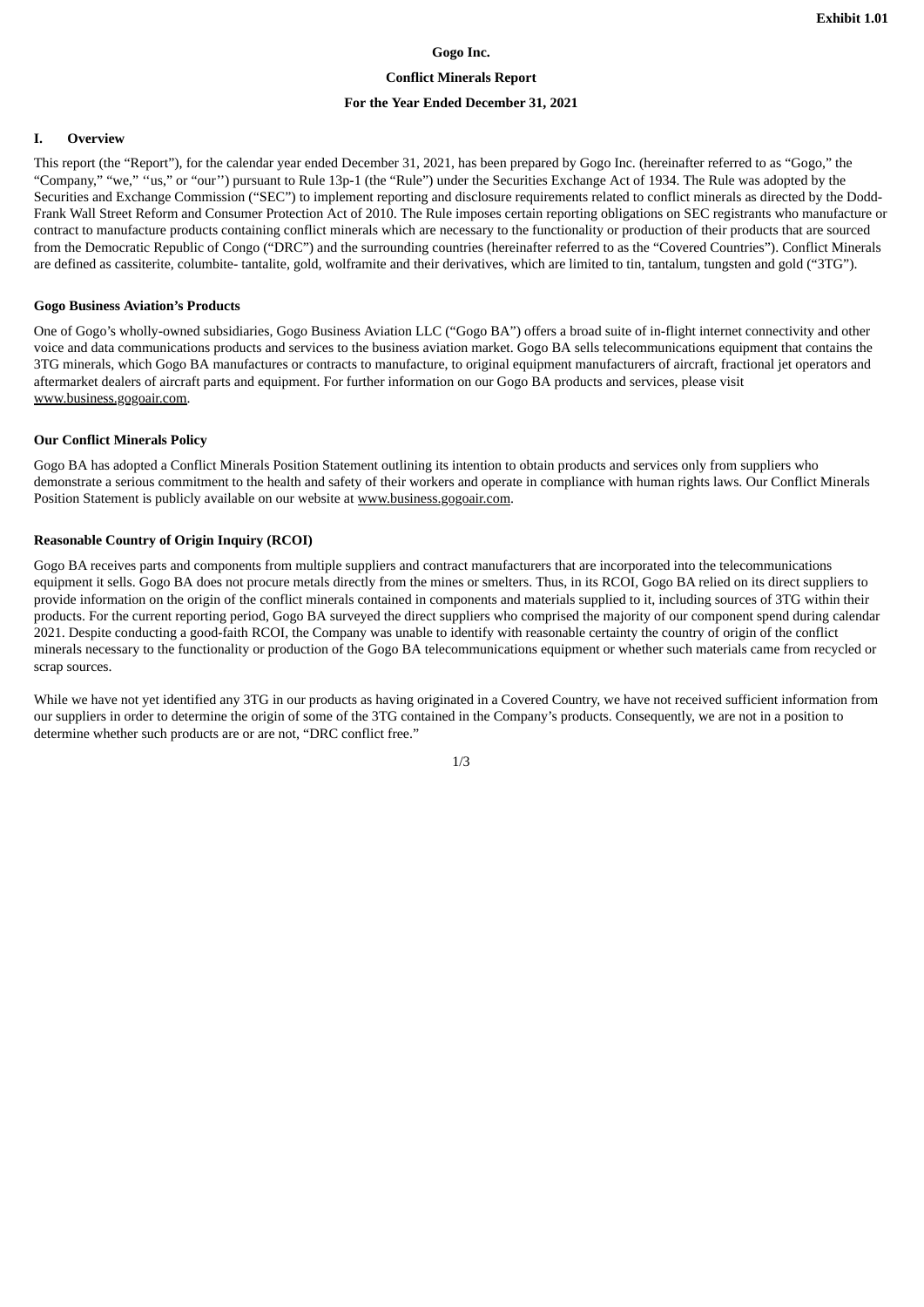## **Gogo Inc.**

## **Conflict Minerals Report**

## **For the Year Ended December 31, 2021**

#### **I. Overview**

This report (the "Report"), for the calendar year ended December 31, 2021, has been prepared by Gogo Inc. (hereinafter referred to as "Gogo," the "Company," "we," ''us," or "our'') pursuant to Rule 13p-1 (the "Rule") under the Securities Exchange Act of 1934. The Rule was adopted by the Securities and Exchange Commission ("SEC") to implement reporting and disclosure requirements related to conflict minerals as directed by the Dodd-Frank Wall Street Reform and Consumer Protection Act of 2010. The Rule imposes certain reporting obligations on SEC registrants who manufacture or contract to manufacture products containing conflict minerals which are necessary to the functionality or production of their products that are sourced from the Democratic Republic of Congo ("DRC") and the surrounding countries (hereinafter referred to as the "Covered Countries"). Conflict Minerals are defined as cassiterite, columbite- tantalite, gold, wolframite and their derivatives, which are limited to tin, tantalum, tungsten and gold ("3TG").

### **Gogo Business Aviation's Products**

One of Gogo's wholly-owned subsidiaries, Gogo Business Aviation LLC ("Gogo BA") offers a broad suite of in-flight internet connectivity and other voice and data communications products and services to the business aviation market. Gogo BA sells telecommunications equipment that contains the 3TG minerals, which Gogo BA manufactures or contracts to manufacture, to original equipment manufacturers of aircraft, fractional jet operators and aftermarket dealers of aircraft parts and equipment. For further information on our Gogo BA products and services, please visit www.business.gogoair.com.

#### **Our Conflict Minerals Policy**

Gogo BA has adopted a Conflict Minerals Position Statement outlining its intention to obtain products and services only from suppliers who demonstrate a serious commitment to the health and safety of their workers and operate in compliance with human rights laws. Our Conflict Minerals Position Statement is publicly available on our website at www.business.gogoair.com.

## **Reasonable Country of Origin Inquiry (RCOI)**

Gogo BA receives parts and components from multiple suppliers and contract manufacturers that are incorporated into the telecommunications equipment it sells. Gogo BA does not procure metals directly from the mines or smelters. Thus, in its RCOI, Gogo BA relied on its direct suppliers to provide information on the origin of the conflict minerals contained in components and materials supplied to it, including sources of 3TG within their products. For the current reporting period, Gogo BA surveyed the direct suppliers who comprised the majority of our component spend during calendar 2021. Despite conducting a good-faith RCOI, the Company was unable to identify with reasonable certainty the country of origin of the conflict minerals necessary to the functionality or production of the Gogo BA telecommunications equipment or whether such materials came from recycled or scrap sources.

While we have not yet identified any 3TG in our products as having originated in a Covered Country, we have not received sufficient information from our suppliers in order to determine the origin of some of the 3TG contained in the Company's products. Consequently, we are not in a position to determine whether such products are or are not, "DRC conflict free."

1/3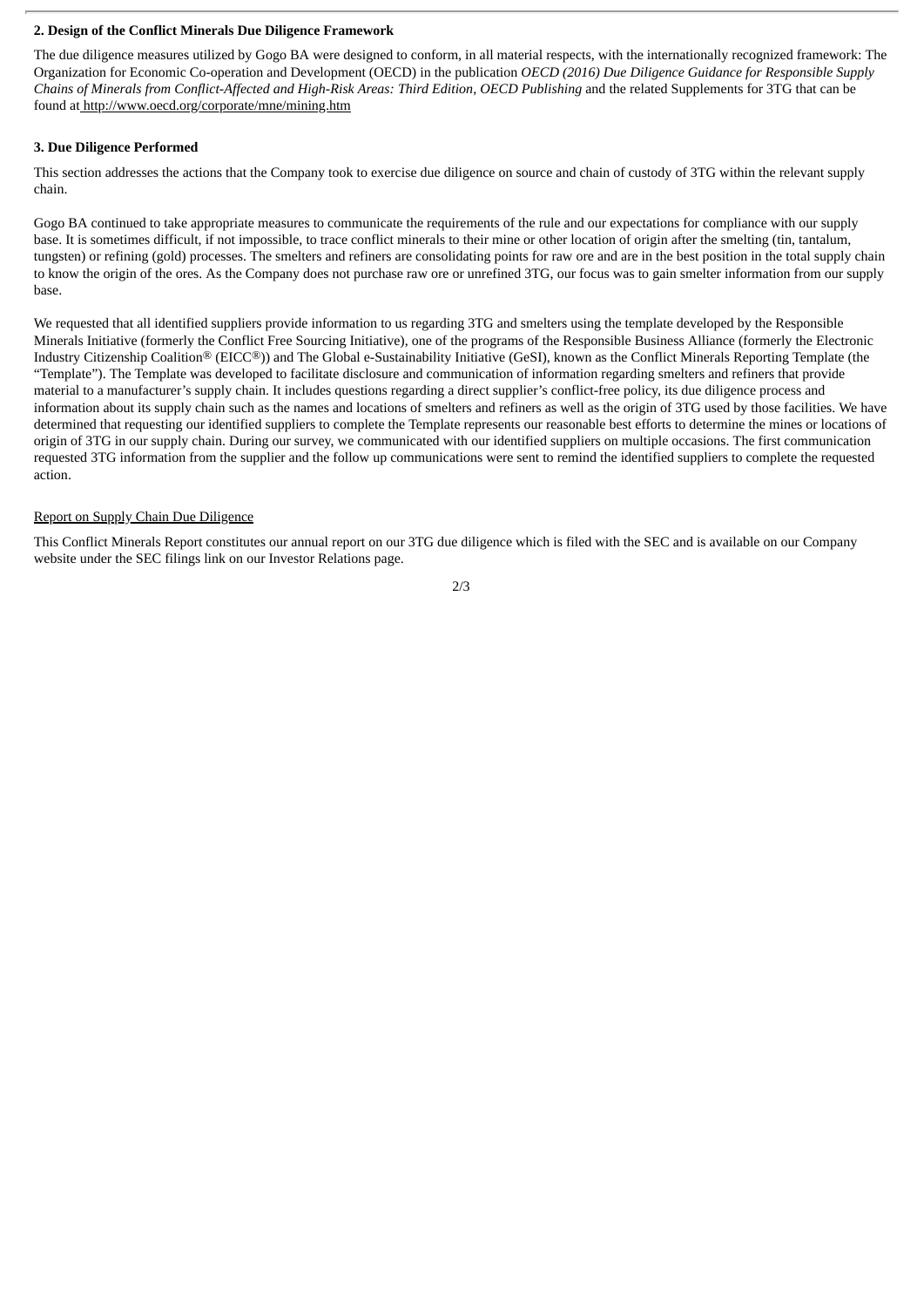## **2. Design of the Conflict Minerals Due Diligence Framework**

The due diligence measures utilized by Gogo BA were designed to conform, in all material respects, with the internationally recognized framework: The Organization for Economic Co-operation and Development (OECD) in the publication *OECD (2016) Due Diligence Guidance for Responsible Supply* Chains of Minerals from Conflict-Affected and High-Risk Areas: Third Edition, OECD Publishing and the related Supplements for 3TG that can be found at http://www.oecd.org/corporate/mne/mining.htm

## **3. Due Diligence Performed**

This section addresses the actions that the Company took to exercise due diligence on source and chain of custody of 3TG within the relevant supply chain.

Gogo BA continued to take appropriate measures to communicate the requirements of the rule and our expectations for compliance with our supply base. It is sometimes difficult, if not impossible, to trace conflict minerals to their mine or other location of origin after the smelting (tin, tantalum, tungsten) or refining (gold) processes. The smelters and refiners are consolidating points for raw ore and are in the best position in the total supply chain to know the origin of the ores. As the Company does not purchase raw ore or unrefined 3TG, our focus was to gain smelter information from our supply base.

We requested that all identified suppliers provide information to us regarding 3TG and smelters using the template developed by the Responsible Minerals Initiative (formerly the Conflict Free Sourcing Initiative), one of the programs of the Responsible Business Alliance (formerly the Electronic Industry Citizenship Coalition® (EICC®)) and The Global e-Sustainability Initiative (GeSI), known as the Conflict Minerals Reporting Template (the "Template"). The Template was developed to facilitate disclosure and communication of information regarding smelters and refiners that provide material to a manufacturer's supply chain. It includes questions regarding a direct supplier's conflict-free policy, its due diligence process and information about its supply chain such as the names and locations of smelters and refiners as well as the origin of 3TG used by those facilities. We have determined that requesting our identified suppliers to complete the Template represents our reasonable best efforts to determine the mines or locations of origin of 3TG in our supply chain. During our survey, we communicated with our identified suppliers on multiple occasions. The first communication requested 3TG information from the supplier and the follow up communications were sent to remind the identified suppliers to complete the requested action.

## Report on Supply Chain Due Diligence

This Conflict Minerals Report constitutes our annual report on our 3TG due diligence which is filed with the SEC and is available on our Company website under the SEC filings link on our Investor Relations page.

2/3